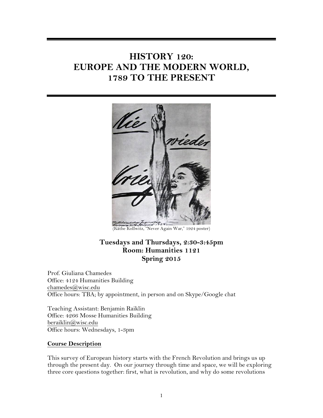# **HISTORY 120: EUROPE AND THE MODERN WORLD, 1789 TO THE PRESENT**



# **Tuesdays and Thursdays, 2:30-3:45pm Room: Humanities 1121 Spring 2015**

Prof. Giuliana Chamedes Office: 4124 Humanities Building chamedes@wisc.edu Office hours: TBA; by appointment, in person and on Skype/Google chat

Teaching Assistant: Benjamin Raiklin Office: 4266 Mosse Humanities Building beraiklin@wisc.edu Office hours: Wednesdays, 1-3pm

#### **Course Description**

This survey of European history starts with the French Revolution and brings us up through the present day. On our journey through time and space, we will be exploring three core questions together: first, what is revolution, and why do some revolutions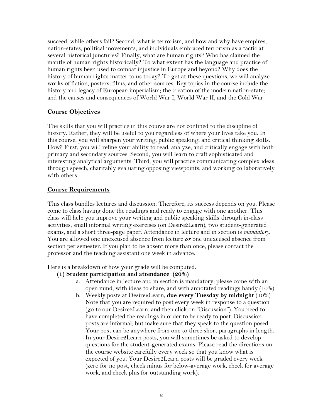succeed, while others fail? Second, what is terrorism, and how and why have empires, nation-states, political movements, and individuals embraced terrorism as a tactic at several historical junctures? Finally, what are human rights? Who has claimed the mantle of human rights historically? To what extent has the language and practice of human rights been used to combat injustice in Europe and beyond? Why does the history of human rights matter to us today? To get at these questions, we will analyze works of fiction, posters, films, and other sources. Key topics in the course include the history and legacy of European imperialism; the creation of the modern nation-state; and the causes and consequences of World War I, World War II, and the Cold War.

# **Course Objectives**

The skills that you will practice in this course are not confined to the discipline of history. Rather, they will be useful to you regardless of where your lives take you. In this course, you will sharpen your writing, public speaking, and critical thinking skills. How? First, you will refine your ability to read, analyze, and critically engage with both primary and secondary sources. Second, you will learn to craft sophisticated and interesting analytical arguments. Third, you will practice communicating complex ideas through speech, charitably evaluating opposing viewpoints, and working collaboratively with others.

# **Course Requirements**

This class bundles lectures and discussion. Therefore, its success depends on you. Please come to class having done the readings and ready to engage with one another. This class will help you improve your writing and public speaking skills through in-class activities, small informal writing exercises (on Desire2Learn), two student-generated exams, and a short three-page paper. Attendance in lecture and in section is *mandatory*. You are allowed one unexcused absence from lecture *or* one unexcused absence from section per semester. If you plan to be absent more than once, please contact the professor and the teaching assistant one week in advance.

Here is a breakdown of how your grade will be computed:

### **(1) Student participation and attendance (20%)**

- a. Attendance in lecture and in section is mandatory; please come with an open mind, with ideas to share, and with annotated readings handy (10%)
- b. Weekly posts at Desire2Learn, **due every Tuesday by midnight** (10%) Note that you are required to post every week in response to a question (go to our Desire2Learn, and then click on "Discussion"). You need to have completed the readings in order to be ready to post. Discussion posts are informal, but make sure that they speak to the question posed. Your post can be anywhere from one to three short paragraphs in length. In your Desire2Learn posts, you will sometimes be asked to develop questions for the student-generated exams. Please read the directions on the course website carefully every week so that you know what is expected of you. Your Desire2Learn posts will be graded every week (zero for no post, check minus for below-average work, check for average work, and check plus for outstanding work).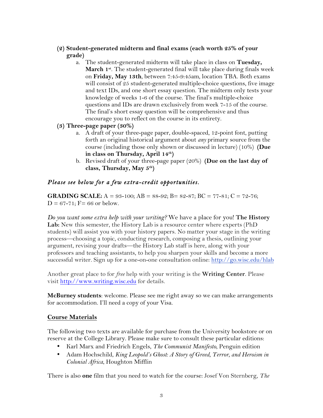- **(2) Student-generated midterm and final exams (each worth 25% of your grade)**
	- a. The student-generated midterm will take place in class on **Tuesday, March 1st**. The student-generated final will take place during finals week on **Friday, May 13th**, between 7:45-9:45am, location TBA. Both exams will consist of 25 student-generated multiple-choice questions, five image and text IDs, and one short essay question. The midterm only tests your knowledge of weeks 1-6 of the course. The final's multiple-choice questions and IDs are drawn exclusively from week 7-15 of the course. The final's short essay question will be comprehensive and thus encourage you to reflect on the course in its entirety.
- **(3) Three-page paper (30%)**
	- a. A draft of your three-page paper, double-spaced, 12-point font, putting forth an original historical argument about *any* primary source from the course (including those only shown or discussed in lecture) (10%) **(Due in class on Thursday, April 14th)**
	- b. Revised draft of your three-page paper (20%) **(Due on the last day of class, Thursday, May 5th)**

# *Please see below for a few extra-credit opportunities.*

**GRADING SCALE:**  $A = 93-100$ ;  $AB = 88-92$ ;  $B = 82-87$ ;  $BC = 77-81$ ;  $C = 72-76$ ;  $D = 67 - 71$ ;  $F = 66$  or below.

*Do you want some extra help with your writing?* We have a place for you! **The History**  Lab: New this semester, the History Lab is a resource center where experts (PhD) students) will assist you with your history papers. No matter your stage in the writing process—choosing a topic, conducting research, composing a thesis, outlining your argument, revising your drafts—the History Lab staff is here, along with your professors and teaching assistants, to help you sharpen your skills and become a more successful writer. Sign up for a one-on-one consultation online: http://go.wisc.edu/hlab

Another great place to for *free* help with your writing is the **Writing Center**. Please visit http://www.writing.wisc.edu for details.

**McBurney students**: welcome. Please see me right away so we can make arrangements for accommodation. I'll need a copy of your Visa.

#### **Course Materials**

The following two texts are available for purchase from the University bookstore or on reserve at the College Library. Please make sure to consult these particular editions:

- Karl Marx and Friedrich Engels, *The Communist Manifesto*, Penguin edition
- Adam Hochschild, *King Leopold's Ghost: A Story of Greed, Terror, and Heroism in Colonial Africa*, Houghton Mifflin

There is also **one** film that you need to watch for the course: Josef Von Sternberg, *The*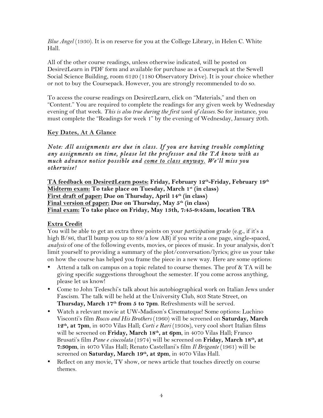*Blue Angel* (1930). It is on reserve for you at the College Library, in Helen C. White Hall.

All of the other course readings, unless otherwise indicated, will be posted on Desire2Learn in PDF form and available for purchase as a Coursepack at the Sewell Social Science Building, room 6120 (1180 Observatory Drive). It is your choice whether or not to buy the Coursepack. However, you are strongly recommended to do so.

To access the course readings on Desire2Learn, click on "Materials," and then on "Content." You are required to complete the readings for any given week by Wednesday evening of that week. *This is also true during the first week of classes.* So for instance, you must complete the "Readings for week 1" by the evening of Wednesday, January 20th.

### **Key Dates, At A Glance**

*Note: All assignments are due in class. If you are having trouble completing any assignments on time, please let the professor and the TA know with as much advance notice possible and come to class anyway. We'll miss you otherwise!* 

**TA feedback on Desire2Learn posts: Friday, February 12th-Friday, February 19th Midterm exam: To take place on Tuesday, March 1st (in class)** First draft of paper: Due on Thursday, April 14<sup>th</sup> (in class) **Final version of paper: Due on Thursday, May 5th (in class) Final exam: To take place on Friday, May 13th, 7:45-9:45am, location TBA**

#### **Extra Credit**

You will be able to get an extra three points on your *participation* grade (e.g., if it's a high B/86, that'll bump you up to 89/a low AB) if you write a one page, single-spaced, *analysis* of one of the following events, movies, or pieces of music. In your analysis, don't limit yourself to providing a summary of the plot/conversation/lyrics; give us your take on how the course has helped you frame the piece in a new way. Here are some options:

- Attend a talk on campus on a topic related to course themes. The prof & TA will be giving specific suggestions throughout the semester. If you come across anything, please let us know!
- Come to John Tedeschi's talk about his autobiographical work on Italian Jews under Fascism. The talk will be held at the University Club, 803 State Street, on Thursday, March 17<sup>th</sup> from 5 to 7pm. Refreshments will be served.
- Watch a relevant movie at UW-Madison's Cinemateque! Some options: Luchino Visconti's film *Rocco and His Brothers* (1960) will be screened on **Saturday, March 12th, at 7pm**, in 4070 Vilas Hall; *Corti e Rari* (1950s), very cool short Italian films will be screened on **Friday, March 18<sup>th</sup>, at 6pm**, in 4070 Vilas Hall; Franco Brusati's film *Pane e cioccolata* (1974) will be screened on **Friday, March 18th, at 7:30pm**, in 4070 Vilas Hall; Renato Castellani's film *Il Brigante* (1961) will be screened on Saturday, March 19th, at 2pm, in 4070 Vilas Hall.
- Reflect on any movie, TV show, or news article that touches directly on course themes.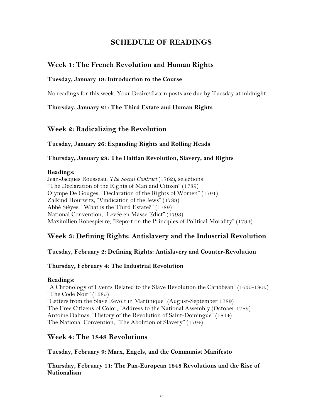# **SCHEDULE OF READINGS**

# **Week 1: The French Revolution and Human Rights**

#### **Tuesday, January 19: Introduction to the Course**

No readings for this week. Your Desire2Learn posts are due by Tuesday at midnight.

**Thursday, January 21: The Third Estate and Human Rights**

### **Week 2: Radicalizing the Revolution**

#### **Tuesday, January 26: Expanding Rights and Rolling Heads**

**Thursday, January 28: The Haitian Revolution, Slavery, and Rights**

#### **Readings:**

Jean-Jacques Rousseau, *The Social Contract* (1762), selections "The Declaration of the Rights of Man and Citizen" (1789) Olympe De Gouges, "Declaration of the Rights of Women" (1791) Zalkind Hourwitz, "Vindication of the Jews" (1789) Abbé Sièyes, "What is the Third Estate?" (1789) National Convention, "Levée en Masse Edict" (1793) Maximilien Robespierre, "Report on the Principles of Political Morality" (1794)

# **Week 3: Defining Rights: Antislavery and the Industrial Revolution**

#### **Tuesday, February 2: Defining Rights: Antislavery and Counter-Revolution**

#### **Thursday, February 4: The Industrial Revolution**

#### **Readings:**

"A Chronology of Events Related to the Slave Revolution the Caribbean" (1635-1805) "The Code Noir" (1685) "Letters from the Slave Revolt in Martinique" (August-September 1789) The Free Citizens of Color, "Address to the National Assembly (October 1789) Antoine Dalmas, "History of the Revolution of Saint-Domingue" (1814) The National Convention, "The Abolition of Slavery" (1794)

### **Week 4: The 1848 Revolutions**

**Tuesday, February 9: Marx, Engels, and the Communist Manifesto** 

**Thursday, February 11: The Pan-European 1848 Revolutions and the Rise of Nationalism**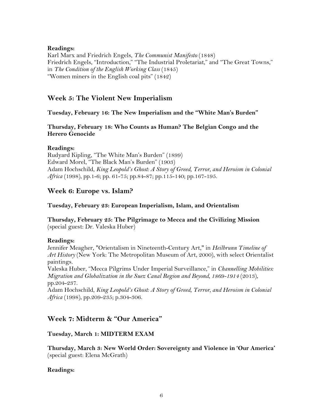#### **Readings:**

Karl Marx and Friedrich Engels, *The Communist Manifesto* (1848) Friedrich Engels, "Introduction," "The Industrial Proletariat," and "The Great Towns," in *The Condition of the English Working Class* (1845) "Women miners in the English coal pits" (1842)

# **Week 5: The Violent New Imperialism**

#### **Tuesday, February 16: The New Imperialism and the "White Man's Burden"**

#### **Thursday, February 18: Who Counts as Human? The Belgian Congo and the Herero Genocide**

#### **Readings:**

Rudyard Kipling, "The White Man's Burden" (1899) Edward Morel, "The Black Man's Burden" (1903) Adam Hochschild, *King Leopold's Ghost: A Story of Greed, Terror, and Heroism in Colonial Africa* (1998), pp.1-6; pp. 61-75; pp.84-87; pp.115-140; pp.167-195.

# **Week 6: Europe vs. Islam?**

#### **Tuesday, February 23: European Imperialism, Islam, and Orientalism**

**Thursday, February 25: The Pilgrimage to Mecca and the Civilizing Mission**  (special guest: Dr. Valeska Huber)

### **Readings:**

Jennifer Meagher, "Orientalism in Nineteenth-Century Art," in *Heilbrunn Timeline of Art History* (New York: The Metropolitan Museum of Art, 2000), with select Orientalist paintings.

Valeska Huber, "Mecca Pilgrims Under Imperial Surveillance," in *Channelling Mobilities: Migration and Globalization in the Suez Canal Region and Beyond, 1869-1914 (2013),* pp.204-237.

Adam Hochschild, *King Leopold's Ghost: A Story of Greed, Terror, and Heroism in Colonial Africa* (1998), pp.209-235; p.304-306.

# **Week 7: Midterm & "Our America"**

### **Tuesday, March 1: MIDTERM EXAM**

**Thursday, March 3: New World Order: Sovereignty and Violence in 'Our America'** (special guest: Elena McGrath)

### **Readings:**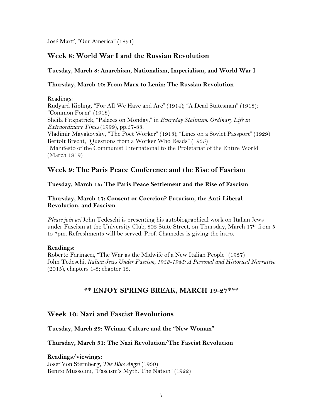José Martí, "Our America" (1891)

# **Week 8: World War I and the Russian Revolution**

#### **Tuesday, March 8: Anarchism, Nationalism, Imperialism, and World War I**

#### **Thursday, March 10: From Marx to Lenin: The Russian Revolution**

Readings: Rudyard Kipling, "For All We Have and Are" (1914); "A Dead Statesman" (1918); "Common Form" (1918) Sheila Fitzpatrick, "Palaces on Monday," in *Everyday Stalinism: Ordinary Life in Extraordinary Times* (1999), pp.67-88. Vladimir Mayakovsky, "The Poet Worker" (1918); "Lines on a Soviet Passport" (1929) Bertolt Brecht, "Questions from a Worker Who Reads" (1935) "Manifesto of the Communist International to the Proletariat of the Entire World" (March 1919)

# **Week 9: The Paris Peace Conference and the Rise of Fascism**

#### **Tuesday, March 15: The Paris Peace Settlement and the Rise of Fascism**

#### **Thursday, March 17: Consent or Coercion? Futurism, the Anti-Liberal Revolution, and Fascism**

*Please join us!* John Tedeschi is presenting his autobiographical work on Italian Jews under Fascism at the University Club, 803 State Street, on Thursday, March 17th from 5 to 7pm. Refreshments will be served. Prof. Chamedes is giving the intro.

#### **Readings:**

Roberto Farinacci, "The War as the Midwife of a New Italian People" (1937) John Tedeschi, *Italian Jews Under Fascism, 1938-1945: A Personal and Historical Narrative*  (2015), chapters 1-3; chapter 13.

# **\*\* ENJOY SPRING BREAK, MARCH 19-27\*\*\***

### **Week 10: Nazi and Fascist Revolutions**

**Tuesday, March 29: Weimar Culture and the "New Woman"**

#### **Thursday, March 31: The Nazi Revolution/The Fascist Revolution**

**Readings/viewings:** Josef Von Sternberg, *The Blue Angel* (1930) Benito Mussolini, "Fascism's Myth: The Nation" (1922)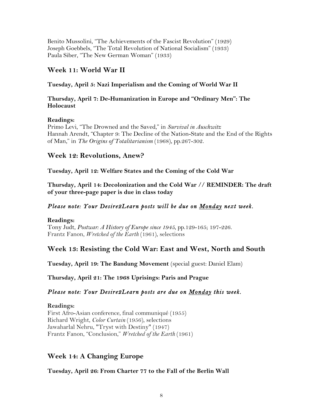Benito Mussolini, "The Achievements of the Fascist Revolution" (1929) Joseph Goebbels, "The Total Revolution of National Socialism" (1933) Paula Siber, "The New German Woman" (1933)

# **Week 11: World War II**

### **Tuesday, April 5: Nazi Imperialism and the Coming of World War II**

#### **Thursday, April 7: De-Humanization in Europe and "Ordinary Men": The Holocaust**

### **Readings:**

Primo Levi, "The Drowned and the Saved," in *Survival in Auschwitz*  Hannah Arendt, "Chapter 9: The Decline of the Nation-State and the End of the Rights of Man," in *The Origins of Totalitarianism* (1968), pp.267-302.

# **Week 12: Revolutions, Anew?**

**Tuesday, April 12: Welfare States and the Coming of the Cold War** 

**Thursday, April 14: Decolonization and the Cold War // REMINDER: The draft of your three-page paper is due in class today**

# *Please note: Your Desire2Learn posts will be due on Monday next week.*

#### **Readings:**

Tony Judt, *Postwar: A History of Europe since 1945*, pp.129-165; 197-226. Frantz Fanon, *Wretched of the Earth* (1961), selections

# **Week 13: Resisting the Cold War: East and West, North and South**

**Tuesday, April 19: The Bandung Movement** (special guest: Daniel Elam)

**Thursday, April 21: The 1968 Uprisings: Paris and Prague**

# *Please note: Your Desire2Learn posts are due on Monday this week.*

### **Readings:**

First Afro-Asian conference, final communiqué (1955) Richard Wright, *Color Curtain* (1956), selections Jawaharlal Nehru, "Tryst with Destiny" (1947) Frantz Fanon, "Conclusion," *Wretched of the Earth* (1961)

# **Week 14: A Changing Europe**

**Tuesday, April 26: From Charter 77 to the Fall of the Berlin Wall**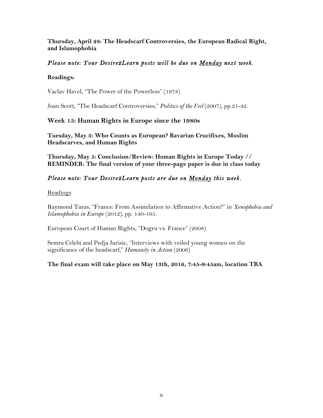**Thursday, April 28: The Headscarf Controversies, the European Radical Right, and Islamophobia**

## *Please note: Your Desire2Learn posts will be due on Monday next week.*

#### **Readings:**

Vaclav Havel, "The Power of the Powerless" (1978)

Joan Scott, "The Headscarf Controversies," *Politics of the Veil* (2007), pp.21-42.

### **Week 15: Human Rights in Europe since the 1980s**

**Tuesday, May 3: Who Counts as European? Bavarian Crucifixes, Muslim Headscarves, and Human Rights**

**Thursday, May 5: Conclusion/Review: Human Rights in Europe Today // REMINDER: The final version of your three-page paper is due in class today**

# *Please note: Your Desire2Learn posts are due on Monday this week.*

#### Readings

Raymond Taras, "France: From Assimilation to Affirmative Action?" in *Xenophobia and Islamophobia in Europe* (2012), pp. 140-165.

European Court of Human Rights, "Dogru vs. France" (2008)

Semra Celebi and Pedja Jurisic, "Interviews with veiled young women on the significance of the headscarf," *Humanity in Action* (2006)

#### **The final exam will take place on May 13th, 2016, 7:45-9:45am, location TBA**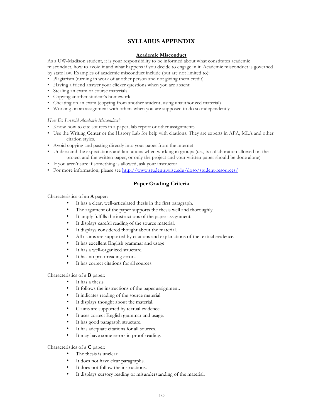#### **SYLLABUS APPENDIX**

#### **Academic Misconduct**

As a UW-Madison student, it is your responsibility to be informed about what constitutes academic misconduct, how to avoid it and what happens if you decide to engage in it. Academic misconduct is governed by state law. Examples of academic misconduct include (but are not limited to):

- Plagiarism (turning in work of another person and not giving them credit)
- Having a friend answer your clicker questions when you are absent
- Stealing an exam or course materials
- Copying another student's homework
- Cheating on an exam (copying from another student, using unauthorized material)
- Working on an assignment with others when you are supposed to do so independently

#### *How Do I Avoid Academic Misconduct?*

- Know how to cite sources in a paper, lab report or other assignments
- Use the Writing Center or the History Lab for help with citations. They are experts in APA, MLA and other citation styles.
- Avoid copying and pasting directly into your paper from the internet
- Understand the expectations and limitations when working in groups (i.e., Is collaboration allowed on the project and the written paper, or only the project and your written paper should be done alone)
- If you aren't sure if something is allowed, ask your instructor
- For more information, please see http://www.students.wisc.edu/doso/student-resources/

#### **Paper Grading Criteria**

#### Characteristics of an **A** paper:

- It has a clear, well-articulated thesis in the first paragraph.
- The argument of the paper supports the thesis well and thoroughly.
- It amply fulfills the instructions of the paper assignment.
- It displays careful reading of the source material.
- It displays considered thought about the material.
- All claims are supported by citations and explanations of the textual evidence.
- It has excellent English grammar and usage
- It has a well-organized structure.
- It has no proofreading errors.
- It has correct citations for all sources.

#### Characteristics of a **B** paper:

- It has a thesis
- It follows the instructions of the paper assignment.
- It indicates reading of the source material.
- It displays thought about the material.
- Claims are supported by textual evidence.
- It uses correct English grammar and usage.
- It has good paragraph structure.
- It has adequate citations for all sources.
- It may have some errors in proof-reading.

#### Characteristics of a **C** paper:

- The thesis is unclear.
- It does not have clear paragraphs.
- It does not follow the instructions.
- It displays cursory reading or misunderstanding of the material.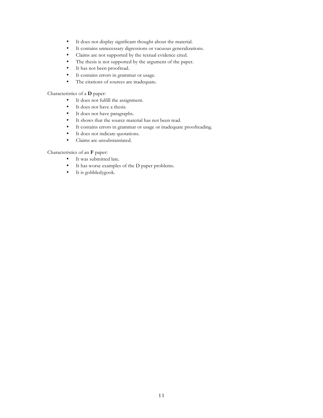- It does not display significant thought about the material.
- It contains unnecessary digressions or vacuous generalizations.
- Claims are not supported by the textual evidence cited.
- The thesis is not supported by the argument of the paper.
- It has not been proofread.
- It contains errors in grammar or usage.
- The citations of sources are inadequate.

#### Characteristics of a **D** paper:

- It does not fulfill the assignment.
- It does not have a thesis.<br>• It does not have paragraphy
- It does not have paragraphs.
- It shows that the source material has not been read.
- It contains errors in grammar or usage or inadequate proofreading.<br>• It does not indicate quotations.
- It does not indicate quotations.
- Claims are unsubstantiated.

#### Characteristics of an **F** paper:

- It was submitted late.
- It has worse examples of the D paper problems.
- It is gobbledygook.